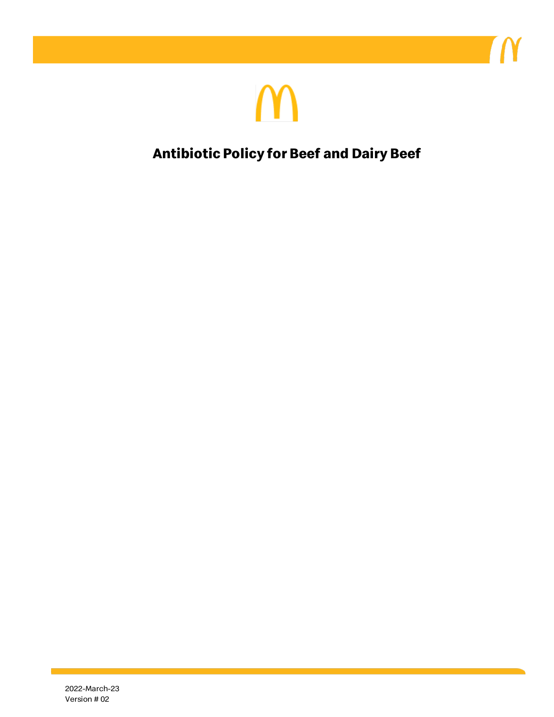

**Antibiotic Policy for Beef and Dairy Beef**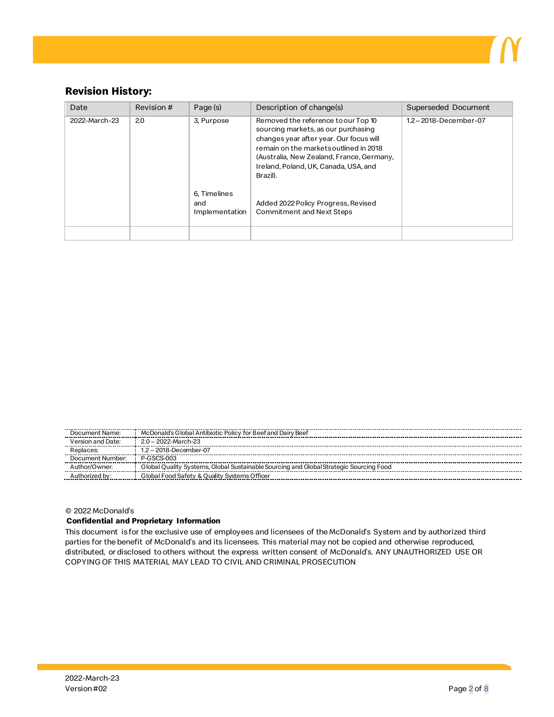

## **Revision History:**

| Date          | Revision # | Page (s)                              | Description of change(s)                                                                                                                                                                                                                                          | Superseded Document    |
|---------------|------------|---------------------------------------|-------------------------------------------------------------------------------------------------------------------------------------------------------------------------------------------------------------------------------------------------------------------|------------------------|
| 2022-March-23 | 2.0        | 3, Purpose                            | Removed the reference to our Top 10<br>sourcing markets, as our purchasing<br>changes year after year. Our focus will<br>remain on the market soutlined in 2018<br>(Australia, New Zealand, France, Germany,<br>Ireland, Poland, UK, Canada, USA, and<br>Brazil). | 1.2 - 2018-December-07 |
|               |            | 6, Timelines<br>and<br>Implementation | Added 2022 Policy Progress, Revised<br><b>Commitment and Next Steps</b>                                                                                                                                                                                           |                        |

| Document Name:    | McDonald's Global Antibiotic Policy for Beef and Dairy Beef                            |  |  |
|-------------------|----------------------------------------------------------------------------------------|--|--|
| Version and Date: | $2.0 - 2022$ -March-23                                                                 |  |  |
| Replaces:         | $1.2 - 2018$ -December-07                                                              |  |  |
| Document Number:  | P-GSCS-003                                                                             |  |  |
| Author/Owner:     | Global Quality Systems, Global Sustainable Sourcing and Global Strategic Sourcing Food |  |  |
| horized by:       | Global Food Safety & Ouality Systems Officer                                           |  |  |

#### © 2022 McDonald's

#### **Confidential and Proprietary Information**

This document is for the exclusive use of employees and licensees of the McDonald's System and by authorized third parties for the benefit of McDonald's and its licensees. This material may not be copied and otherwise reproduced, distributed, or disclosed to others without the express written consent of McDonald's. ANY UNAUTHORIZED USE OR COPYING OF THIS MATERIAL MAY LEAD TO CIVIL AND CRIMINAL PROSECUTION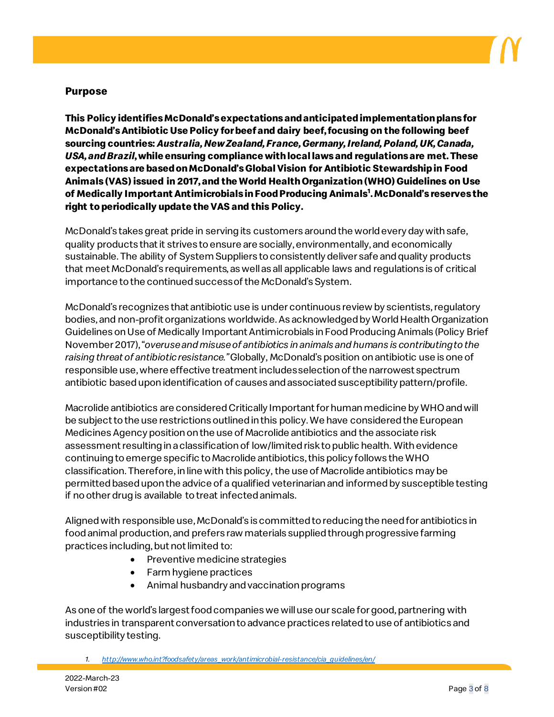

## **Purpose**

**This Policy identifies McDonald's expectations and anticipated implementation plans for McDonald's Antibiotic Use Policy for beef and dairy beef, focusing on the following beef sourcing countries:** *Australia, New Zealand, France, Germany, Ireland, Poland, UK, Canada, USA, and Brazil***, while ensuring compliance with local laws and regulations are met. These expectations are based on McDonald's Global Vision for Antibiotic Stewardship in Food Animals (VAS) issued in 2017, and the World Health Organization (WHO)Guidelines on Use of Medically Important Antimicrobials in Food Producing Animals1 . McDonald's reserves the right to periodically update the VAS and this Policy.**

McDonald's takes great pride in serving its customers around the world every day with safe, quality products that it strives to ensure are socially, environmentally, and economically sustainable. The ability of System Suppliers to consistently deliver safe and quality products that meet McDonald's requirements, as well as all applicable laws and regulations is of critical importance to the continued success of the McDonald's System.

McDonald's recognizes that antibiotic use is under continuous review by scientists, regulatory bodies, and non-profit organizations worldwide. As acknowledged by World Health Organization Guidelines on Use of Medically Important Antimicrobials in Food Producing Animals (Policy Brief November 2017), "*overuse and misuse of antibiotics in animals and humans is contributing to the raising threat of antibiotic resistance."*Globally, McDonald's position on antibiotic use is one of responsible use, where effective treatment includes selection of the narrowest spectrum antibiotic based upon identification of causes and associated susceptibility pattern/profile.

Macrolide antibiotics are considered Critically Important for human medicine by WHO and will be subject to the use restrictions outlined in this policy. We have considered the European Medicines Agency position on the use of Macrolide antibiotics and the associate risk assessment resulting in a classification of low/limited risk to public health. With evidence continuing to emerge specific to Macrolide antibiotics, this policy follows the WHO classification. Therefore, in line with this policy, the use of Macrolide antibiotics may be permitted based upon the advice of a qualified veterinarian and informed by susceptible testing if no other drug is available to treat infected animals.

Aligned with responsible use, McDonald's is committed to reducing the need for antibiotics in food animal production, and prefers raw materials supplied through progressive farming practices including, but not limited to:

- Preventive medicine strategies
- Farm hygiene practices
- Animal husbandry and vaccination programs

As one of the world's largest food companies we will use our scale for good, partnering with industries in transparent conversation to advance practices related to use of antibiotics and susceptibility testing.

*1. [http://www.who.int?foodsafety/areas\\_work/antimicrobial-resistance/cia\\_guidelines/en/](http://www.who.int/?foodsafety/areas_work/antimicrobial-resistance/cia_guidelines/en/)*

2022-March-23 Version #02 Page 3 of 8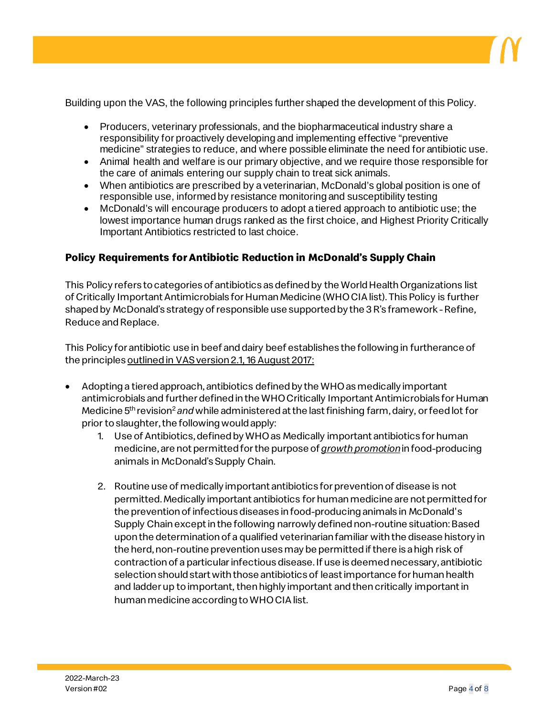

Building upon the VAS, the following principles further shaped the development of this Policy.

- Producers, veterinary professionals, and the biopharmaceutical industry share a responsibility for proactively developing and implementing effective "preventive medicine" strategies to reduce, and where possible eliminate the need for antibiotic use.
- Animal health and welfare is our primary objective, and we require those responsible for the care of animals entering our supply chain to treat sick animals.
- When antibiotics are prescribed by a veterinarian, McDonald's global position is one of responsible use, informed by resistance monitoring and susceptibility testing
- McDonald's will encourage producers to adopt a tiered approach to antibiotic use; the lowest importance human drugs ranked as the first choice, and Highest Priority Critically Important Antibiotics restricted to last choice.

### **Policy Requirements for Antibiotic Reduction in McDonald's Supply Chain**

This Policy refers to categories of antibiotics as defined by the World Health Organizations list of Critically Important Antimicrobials for Human Medicine (WHO CIA list). This Policy is further shaped by McDonald's strategy of responsible use supported by the 3 R's framework - Refine, Reduce and Replace.

This Policy for antibiotic use in beef and dairy beef establishes the following in furtherance of the principles outlined in VAS version 2.1, 16 August 2017:

- Adopting a tiered approach, antibiotics defined by the WHOas medically important antimicrobials and further defined in the WHO Critically Important Antimicrobials for Human Medicine 5<sup>th</sup> revision<sup>2</sup> and while administered at the last finishing farm, dairy, or feed lot for prior to slaughter, the following would apply:
	- 1. Use of Antibiotics, defined by WHO as Medically important antibiotics for human medicine, are not permitted for the purpose of *growth promotion*in food-producing animals in McDonald's Supply Chain.
	- 2. Routine use of medically important antibiotics for prevention of disease is not permitted. Medically important antibiotics for human medicine are not permitted for the prevention of infectious diseases in food-producing animals in McDonald's Supply Chain except in the following narrowly defined non-routine situation: Based upon the determination of a qualified veterinarian familiar withthe disease history in the herd, non-routine prevention uses may be permitted if there is a high risk of contraction of a particular infectious disease. If use is deemed necessary, antibiotic selection should start with those antibiotics of least importance for human health and ladder up to important, then highly important and then critically important in human medicine according to WHO CIA list.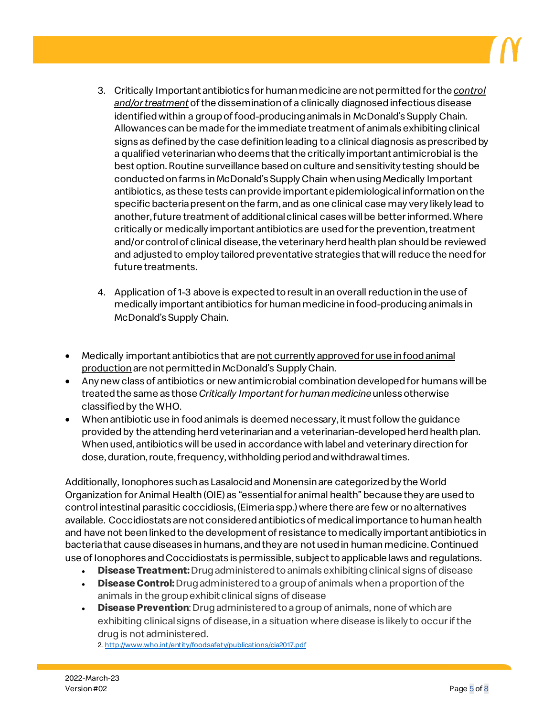- 3. Critically Important antibiotics for human medicine are not permitted for the *control and/or treatment* of the dissemination of a clinically diagnosed infectious disease identified within a group of food-producing animals in McDonald's Supply Chain. Allowances can be made for the immediate treatment of animals exhibiting clinical signs as defined by the case definition leading to a clinical diagnosis as prescribed by a qualified veterinarian who deems that the critically important antimicrobial is the bestoption. Routine surveillance based on culture and sensitivity testing should be conducted on farms in McDonald's Supply Chain when using Medically Important antibiotics, as these tests can provide important epidemiological information on the specific bacteria present on the farm, and as one clinical case may very likely lead to another, future treatment of additional clinical cases will be better informed. Where critically or medically important antibiotics are used for the prevention, treatment and/or control of clinical disease, the veterinary herd health plan should be reviewed and adjusted to employ tailored preventative strategies that will reduce the need for future treatments.
- 4. Application of 1-3 above is expected to result in an overall reduction in the use of medically important antibiotics for human medicine in food-producing animals in McDonald's Supply Chain.
- Medically important antibiotics that are not currently approved for use in food animal production are not permitted in McDonald's Supply Chain.
- Any new class of antibiotics or new antimicrobial combination developed for humans will be treated the same as those *Critically Important for human medicine*unless otherwise classified by the WHO.
- When antibiotic use in food animals is deemed necessary, it must follow the guidance provided by the attending herd veterinarian and a veterinarian-developed herd health plan. When used, antibiotics will be used in accordance with label and veterinary direction for dose, duration, route, frequency, withholding period and withdrawal times.

Additionally, Ionophores such as Lasalocid and Monensin are categorized by the World Organization for Animal Health (OIE) as "essential for animal health" because they are used to control intestinal parasitic coccidiosis, (Eimeria spp.) where there are few or no alternatives available. Coccidiostats are not considered antibiotics of medical importance to human health and have not been linked to the development of resistance to medically important antibiotics in bacteria that cause diseases in humans, and they are not used in human medicine. Continued use of Ionophores and Coccidiostats is permissible, subject to applicable laws and regulations.

- **Disease Treatment:** Drug administered to animals exhibiting clinical signs of disease
- **Disease Control:** Drug administered to a group of animals when a proportion of the animals in the group exhibit clinical signs of disease
- **Disease Prevention**: Drug administered to a group of animals, none of which are exhibiting clinical signs of disease, in a situation where disease is likely to occur if the drug is not administered.<br>2[. http://www.who.int/entity/foodsafety/publications/cia2017.pdf](http://www.who.int/entity/foodsafety/publications/cia2017.pdf)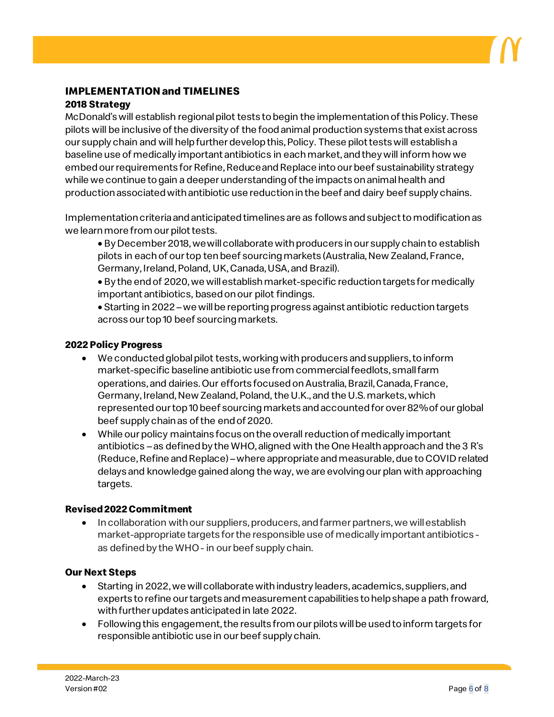## **IMPLEMENTATION and TIMELINES**

### **2018 Strategy**

McDonald's will establish regional pilot tests to begin the implementation of this Policy. These pilots will be inclusive of the diversity of the food animal production systems that exist across our supply chain and will help further develop this, Policy. These pilot tests will establish a baseline use of medically important antibiotics in each market, and they will inform how we embed our requirements for Refine, Reduce and Replace into our beef sustainability strategy while we continue to gain a deeper understanding of the impacts on animal health and production associated with antibiotic use reduction in the beef and dairy beef supply chains.

Implementation criteria and anticipated timelines are as follows and subject to modification as we learn more from our pilot tests.

- By December 2018, we will collaborate with producers in our supply chain to establish pilots in each of our top ten beef sourcing markets (Australia, New Zealand, France, Germany, Ireland, Poland, UK, Canada, USA, and Brazil).
- By the end of 2020, we will establish market-specific reduction targets for medically important antibiotics, based on our pilot findings.

• Starting in 2022 –we will be reporting progress against antibiotic reduction targets across our top 10 beef sourcing markets.

#### **2022 Policy Progress**

- We conducted global pilot tests, working with producers and suppliers, to inform market-specific baseline antibiotic use from commercial feedlots, small farm operations, and dairies. Our efforts focused on Australia, Brazil, Canada, France, Germany, Ireland, New Zealand, Poland, the U.K., and the U.S. markets, which represented our top 10 beef sourcing markets and accounted for over 82% of our global beef supply chainas of the end of 2020.
- While our policy maintains focus onthe overall reduction of medically important antibiotics – as defined by the WHO, aligned with the One Health approach and the 3 R's (Reduce, Refine and Replace) –where appropriate and measurable, due to COVID related delays and knowledge gained along the way, we are evolving our plan with approaching targets.

#### **Revised 2022 Commitment**

• In collaboration with our suppliers, producers, and farmer partners, we will establish market-appropriate targets for the responsible use of medically important antibiotics as defined by the WHO - in our beef supply chain.

#### **Our Next Steps**

- Starting in 2022, we will collaborate with industry leaders, academics, suppliers, and experts to refine our targets and measurement capabilities to help shape a path froward, with further updates anticipated in late 2022.
- Following this engagement, the results from our pilots will be used to inform targets for responsible antibiotic use in our beef supply chain.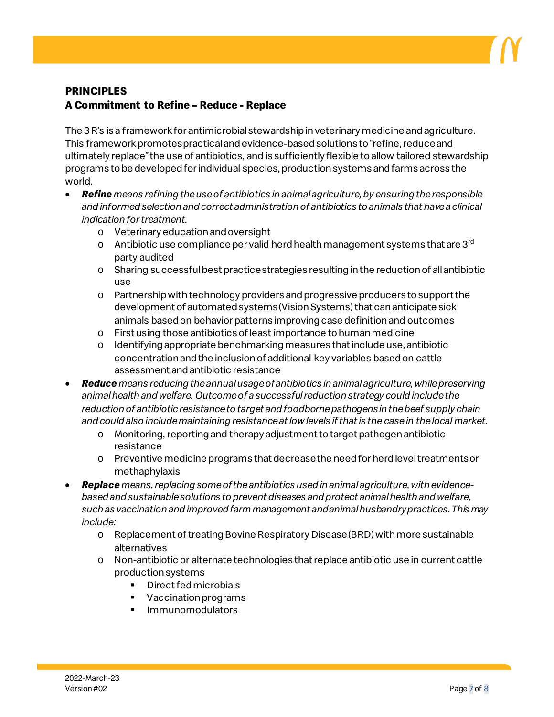

# **PRINCIPLES A Commitment to Refine – Reduce - Replace**

The 3 R's is a framework for antimicrobial stewardship in veterinary medicine and agriculture. This framework promotes practical and evidence-based solutions to "refine, reduce and ultimately replace" the use of antibiotics, and is sufficiently flexible to allow tailored stewardship programs to be developed for individual species, production systems and farms across the world.

- *Refine means refining the use of antibiotics in animal agriculture, by ensuring the responsible and informed selection and correct administration of antibiotics to animals that have a clinical indication for treatment.* 
	- o Veterinary education and oversight
	- $\circ$  Antibiotic use compliance per valid herd health management systems that are 3<sup>rd</sup> party audited
	- o Sharing successful best practice strategies resulting in the reduction of all antibiotic use
	- o Partnership with technology providers and progressive producers to support the development of automated systems (Vision Systems) that can anticipate sick animals based on behavior patterns improving case definition and outcomes
	- o First using those antibiotics of least importance to human medicine
	- o Identifying appropriate benchmarking measures that include use, antibiotic concentration and the inclusion of additional key variables based on cattle assessment and antibiotic resistance
- *Reduce means reducing the annual usage of antibiotics in animal agriculture, while preserving animal health and welfare. Outcome of a successful reduction strategy could include the reduction of antibiotic resistance to target and foodborne pathogens in the beef supply chain and could also include maintaining resistance at low levels if that is the case in the local market.* 
	- o Monitoring, reporting and therapy adjustment to target pathogen antibiotic resistance
	- o Preventive medicine programs that decrease the need for herd level treatments or methaphylaxis
- *Replace means, replacing some of the antibiotics used in animal agriculture, with evidencebased and sustainable solutions to prevent diseases and protect animal health and welfare, such as vaccination and improved farm management and animal husbandry practices. This may include:*
	- o Replacement of treating Bovine Respiratory Disease (BRD) with more sustainable alternatives
	- o Non-antibiotic or alternate technologies that replace antibiotic use in current cattle production systems
		- **•** Direct fed microbials
		- Vaccination programs
		- **Immunomodulators**